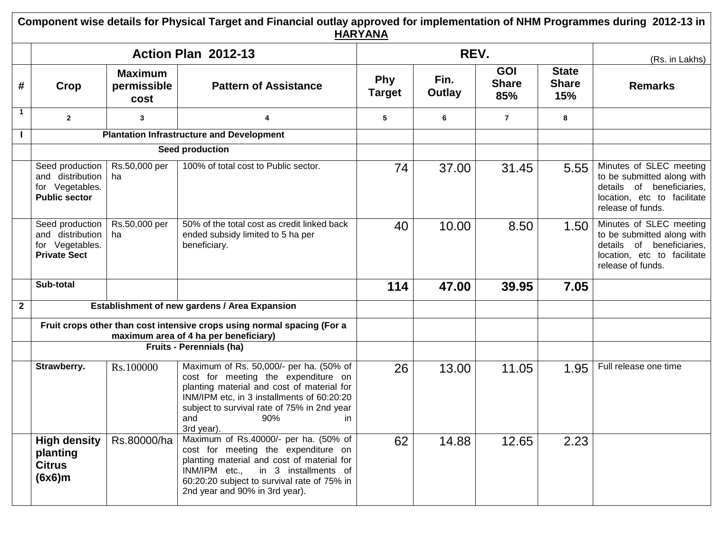**Component wise details for Physical Target and Financial outlay approved for implementation of NHM Programmes during 2012-13 in HARYANA**

|              |                                                                                |                                       | Action Plan 2012-13                                                                                                                                                                                                                                          |                             | REV.           |                                   |                                     | (Rs. in Lakhs)                                                                                                                         |  |
|--------------|--------------------------------------------------------------------------------|---------------------------------------|--------------------------------------------------------------------------------------------------------------------------------------------------------------------------------------------------------------------------------------------------------------|-----------------------------|----------------|-----------------------------------|-------------------------------------|----------------------------------------------------------------------------------------------------------------------------------------|--|
| #            | Crop                                                                           | <b>Maximum</b><br>permissible<br>cost | <b>Pattern of Assistance</b>                                                                                                                                                                                                                                 | <b>Phy</b><br><b>Target</b> | Fin.<br>Outlay | <b>GOI</b><br><b>Share</b><br>85% | <b>State</b><br><b>Share</b><br>15% | <b>Remarks</b>                                                                                                                         |  |
| $\mathbf{1}$ | $\mathbf{2}$                                                                   | 3                                     | 4                                                                                                                                                                                                                                                            | 5                           | 6              | $\overline{7}$                    | 8                                   |                                                                                                                                        |  |
|              |                                                                                |                                       | <b>Plantation Infrastructure and Development</b>                                                                                                                                                                                                             |                             |                |                                   |                                     |                                                                                                                                        |  |
|              |                                                                                |                                       | Seed production                                                                                                                                                                                                                                              |                             |                |                                   |                                     |                                                                                                                                        |  |
|              | Seed production<br>and distribution<br>for Vegetables.<br><b>Public sector</b> | Rs.50,000 per<br>ha                   | 100% of total cost to Public sector.                                                                                                                                                                                                                         | 74                          | 37.00          | 31.45                             | 5.55                                | Minutes of SLEC meeting<br>to be submitted along with<br>details of beneficiaries.<br>location, etc to facilitate<br>release of funds. |  |
|              | Seed production<br>and distribution<br>for Vegetables.<br><b>Private Sect</b>  | Rs.50,000 per<br>ha                   | 50% of the total cost as credit linked back<br>ended subsidy limited to 5 ha per<br>beneficiary.                                                                                                                                                             | 40                          | 10.00          | 8.50                              | 1.50                                | Minutes of SLEC meeting<br>to be submitted along with<br>details of beneficiaries,<br>location, etc to facilitate<br>release of funds. |  |
|              | Sub-total                                                                      |                                       |                                                                                                                                                                                                                                                              | 114                         | 47.00          | 39.95                             | 7.05                                |                                                                                                                                        |  |
| $\mathbf{2}$ |                                                                                |                                       | Establishment of new gardens / Area Expansion                                                                                                                                                                                                                |                             |                |                                   |                                     |                                                                                                                                        |  |
|              |                                                                                |                                       | Fruit crops other than cost intensive crops using normal spacing (For a<br>maximum area of 4 ha per beneficiary)                                                                                                                                             |                             |                |                                   |                                     |                                                                                                                                        |  |
|              |                                                                                |                                       | Fruits - Perennials (ha)                                                                                                                                                                                                                                     |                             |                |                                   |                                     |                                                                                                                                        |  |
|              | Strawberry.                                                                    | Rs.100000                             | Maximum of Rs. 50,000/- per ha. (50% of<br>cost for meeting the expenditure on<br>planting material and cost of material for<br>INM/IPM etc, in 3 installments of 60:20:20<br>subject to survival rate of 75% in 2nd year<br>and<br>90%<br>in.<br>3rd year). | 26                          | 13.00          | 11.05                             | 1.95                                | Full release one time                                                                                                                  |  |
|              | <b>High density</b><br>planting<br><b>Citrus</b><br>(6x6)m                     | Rs.80000/ha                           | Maximum of Rs.40000/- per ha. (50% of<br>cost for meeting the expenditure on<br>planting material and cost of material for<br>INM/IPM etc.,<br>in 3 installments of<br>60:20:20 subject to survival rate of 75% in<br>2nd year and 90% in 3rd year).         | 62                          | 14.88          | 12.65                             | 2.23                                |                                                                                                                                        |  |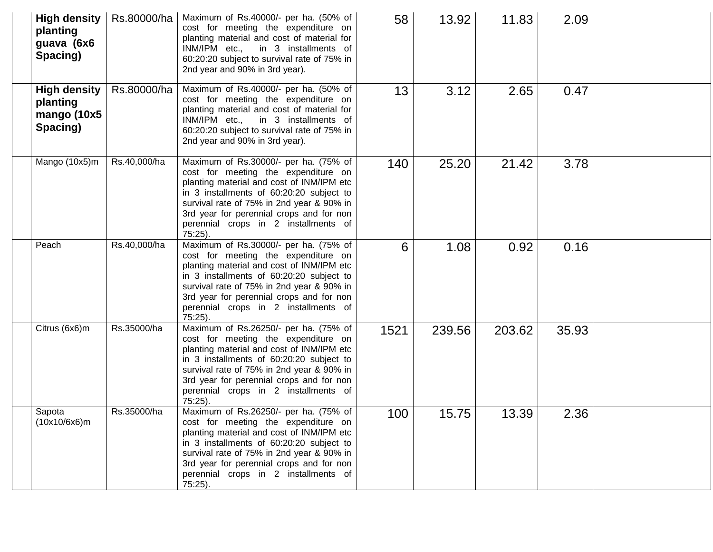| <b>High density</b><br>planting<br>guava (6x6<br>Spacing)  | Rs.80000/ha  | Maximum of Rs.40000/- per ha. (50% of<br>cost for meeting the expenditure on<br>planting material and cost of material for<br>INM/IPM etc., in 3 installments of<br>60:20:20 subject to survival rate of 75% in<br>2nd year and 90% in 3rd year).                                                                    | 58   | 13.92  | 11.83  | 2.09  |  |
|------------------------------------------------------------|--------------|----------------------------------------------------------------------------------------------------------------------------------------------------------------------------------------------------------------------------------------------------------------------------------------------------------------------|------|--------|--------|-------|--|
| <b>High density</b><br>planting<br>mango (10x5<br>Spacing) | Rs.80000/ha  | Maximum of Rs.40000/- per ha. (50% of<br>cost for meeting the expenditure on<br>planting material and cost of material for<br>INM/IPM etc., in 3 installments of<br>60:20:20 subject to survival rate of 75% in<br>2nd year and 90% in 3rd year).                                                                    | 13   | 3.12   | 2.65   | 0.47  |  |
| Mango (10x5)m                                              | Rs.40,000/ha | Maximum of Rs.30000/- per ha. (75% of<br>cost for meeting the expenditure on<br>planting material and cost of INM/IPM etc<br>in 3 installments of 60:20:20 subject to<br>survival rate of 75% in 2nd year & 90% in<br>3rd year for perennial crops and for non<br>perennial crops in 2 installments of<br>$75:25$ ). | 140  | 25.20  | 21.42  | 3.78  |  |
| Peach                                                      | Rs.40,000/ha | Maximum of Rs.30000/- per ha. (75% of<br>cost for meeting the expenditure on<br>planting material and cost of INM/IPM etc<br>in 3 installments of 60:20:20 subject to<br>survival rate of 75% in 2nd year & 90% in<br>3rd year for perennial crops and for non<br>perennial crops in 2 installments of<br>75:25).    | 6    | 1.08   | 0.92   | 0.16  |  |
| Citrus (6x6)m                                              | Rs.35000/ha  | Maximum of Rs.26250/- per ha. (75% of<br>cost for meeting the expenditure on<br>planting material and cost of INM/IPM etc<br>in 3 installments of 60:20:20 subject to<br>survival rate of 75% in 2nd year & 90% in<br>3rd year for perennial crops and for non<br>perennial crops in 2 installments of<br>$75:25$ ). | 1521 | 239.56 | 203.62 | 35.93 |  |
| Sapota<br>(10x10/6x6)m                                     | Rs.35000/ha  | Maximum of Rs.26250/- per ha. (75% of<br>cost for meeting the expenditure on<br>planting material and cost of INM/IPM etc<br>in 3 installments of 60:20:20 subject to<br>survival rate of 75% in 2nd year & 90% in<br>3rd year for perennial crops and for non<br>perennial crops in 2 installments of<br>$75:25$ ). | 100  | 15.75  | 13.39  | 2.36  |  |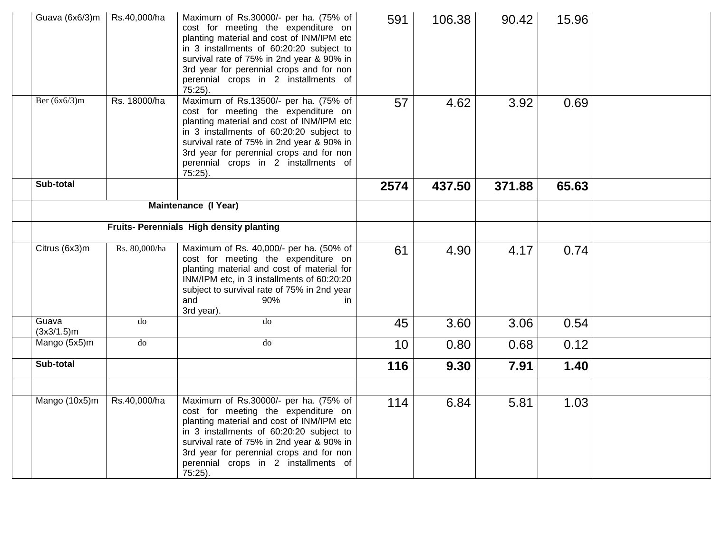| Guava (6x6/3)m         | Rs.40,000/ha  | Maximum of Rs.30000/- per ha. (75% of<br>cost for meeting the expenditure on<br>planting material and cost of INM/IPM etc<br>in 3 installments of 60:20:20 subject to<br>survival rate of 75% in 2nd year & 90% in<br>3rd year for perennial crops and for non<br>perennial crops in 2 installments of<br>75:25).    | 591  | 106.38 | 90.42  | 15.96 |  |
|------------------------|---------------|----------------------------------------------------------------------------------------------------------------------------------------------------------------------------------------------------------------------------------------------------------------------------------------------------------------------|------|--------|--------|-------|--|
| Ber $(6x6/3)m$         | Rs. 18000/ha  | Maximum of Rs.13500/- per ha. (75% of<br>cost for meeting the expenditure on<br>planting material and cost of INM/IPM etc<br>in 3 installments of 60:20:20 subject to<br>survival rate of 75% in 2nd year & 90% in<br>3rd year for perennial crops and for non<br>perennial crops in 2 installments of<br>$75:25$ ). | 57   | 4.62   | 3.92   | 0.69  |  |
| Sub-total              |               |                                                                                                                                                                                                                                                                                                                      | 2574 | 437.50 | 371.88 | 65.63 |  |
|                        |               | Maintenance (I Year)                                                                                                                                                                                                                                                                                                 |      |        |        |       |  |
|                        |               | Fruits- Perennials High density planting                                                                                                                                                                                                                                                                             |      |        |        |       |  |
| Citrus (6x3)m          | Rs. 80,000/ha | Maximum of Rs. 40,000/- per ha. (50% of<br>cost for meeting the expenditure on<br>planting material and cost of material for<br>INM/IPM etc, in 3 installments of 60:20:20<br>subject to survival rate of 75% in 2nd year<br>and<br>90%<br>in<br>3rd year).                                                          | 61   | 4.90   | 4.17   | 0.74  |  |
| Guava<br>$(3x3/1.5)$ m | do            | do                                                                                                                                                                                                                                                                                                                   | 45   | 3.60   | 3.06   | 0.54  |  |
| Mango (5x5)m           | do            | do                                                                                                                                                                                                                                                                                                                   | 10   | 0.80   | 0.68   | 0.12  |  |
| Sub-total              |               |                                                                                                                                                                                                                                                                                                                      | 116  | 9.30   | 7.91   | 1.40  |  |
| Mango (10x5)m          | Rs.40,000/ha  | Maximum of Rs.30000/- per ha. (75% of<br>cost for meeting the expenditure on<br>planting material and cost of INM/IPM etc<br>in 3 installments of 60:20:20 subject to<br>survival rate of 75% in 2nd year & 90% in<br>3rd year for perennial crops and for non<br>perennial crops in 2 installments of<br>$75:25$ ). | 114  | 6.84   | 5.81   | 1.03  |  |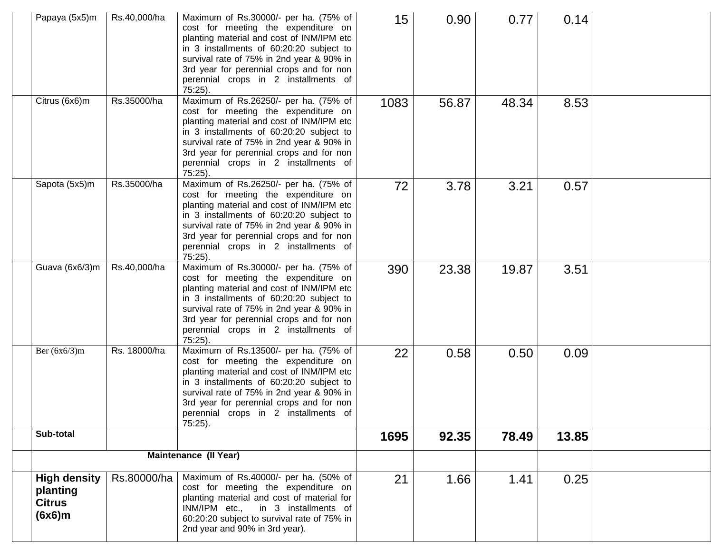| Papaya (5x5)m                                              | Rs.40,000/ha | Maximum of Rs.30000/- per ha. (75% of<br>cost for meeting the expenditure on<br>planting material and cost of INM/IPM etc<br>in 3 installments of 60:20:20 subject to<br>survival rate of 75% in 2nd year & 90% in<br>3rd year for perennial crops and for non<br>perennial crops in 2 installments of<br>$75:25$ ). | 15   | 0.90  | 0.77  | 0.14  |  |
|------------------------------------------------------------|--------------|----------------------------------------------------------------------------------------------------------------------------------------------------------------------------------------------------------------------------------------------------------------------------------------------------------------------|------|-------|-------|-------|--|
| Citrus (6x6)m                                              | Rs.35000/ha  | Maximum of Rs.26250/- per ha. (75% of<br>cost for meeting the expenditure on<br>planting material and cost of INM/IPM etc<br>in 3 installments of 60:20:20 subject to<br>survival rate of 75% in 2nd year & 90% in<br>3rd year for perennial crops and for non<br>perennial crops in 2 installments of<br>$75:25$ ). | 1083 | 56.87 | 48.34 | 8.53  |  |
| Sapota (5x5)m                                              | Rs.35000/ha  | Maximum of Rs.26250/- per ha. (75% of<br>cost for meeting the expenditure on<br>planting material and cost of INM/IPM etc<br>in 3 installments of 60:20:20 subject to<br>survival rate of 75% in 2nd year & 90% in<br>3rd year for perennial crops and for non<br>perennial crops in 2 installments of<br>$75:25$ ). | 72   | 3.78  | 3.21  | 0.57  |  |
| Guava (6x6/3)m                                             | Rs.40,000/ha | Maximum of Rs.30000/- per ha. (75% of<br>cost for meeting the expenditure on<br>planting material and cost of INM/IPM etc<br>in 3 installments of 60:20:20 subject to<br>survival rate of 75% in 2nd year & 90% in<br>3rd year for perennial crops and for non<br>perennial crops in 2 installments of<br>$75:25$ ). | 390  | 23.38 | 19.87 | 3.51  |  |
| Ber $(6x6/3)m$                                             | Rs. 18000/ha | Maximum of Rs.13500/- per ha. (75% of<br>cost for meeting the expenditure on<br>planting material and cost of INM/IPM etc<br>in 3 installments of 60:20:20 subject to<br>survival rate of 75% in 2nd year & 90% in<br>3rd year for perennial crops and for non<br>perennial crops in 2 installments of<br>$75:25$ ). | 22   | 0.58  | 0.50  | 0.09  |  |
| Sub-total                                                  |              |                                                                                                                                                                                                                                                                                                                      | 1695 | 92.35 | 78.49 | 13.85 |  |
|                                                            |              | <b>Maintenance (II Year)</b>                                                                                                                                                                                                                                                                                         |      |       |       |       |  |
| <b>High density</b><br>planting<br><b>Citrus</b><br>(6x6)m | Rs.80000/ha  | Maximum of Rs.40000/- per ha. (50% of<br>cost for meeting the expenditure on<br>planting material and cost of material for<br>INM/IPM etc.,<br>in 3 installments of<br>60:20:20 subject to survival rate of 75% in<br>2nd year and 90% in 3rd year).                                                                 | 21   | 1.66  | 1.41  | 0.25  |  |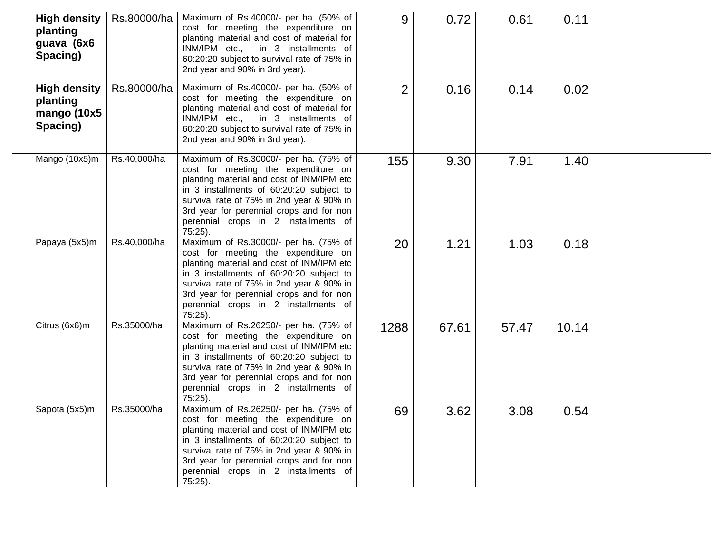| <b>High density</b><br>planting<br>guava (6x6<br>Spacing)  | Rs.80000/ha  | Maximum of Rs.40000/- per ha. (50% of<br>cost for meeting the expenditure on<br>planting material and cost of material for<br>INM/IPM etc., in 3 installments of<br>60:20:20 subject to survival rate of 75% in<br>2nd year and 90% in 3rd year).                                                                    | 9              | 0.72  | 0.61  | 0.11  |  |
|------------------------------------------------------------|--------------|----------------------------------------------------------------------------------------------------------------------------------------------------------------------------------------------------------------------------------------------------------------------------------------------------------------------|----------------|-------|-------|-------|--|
| <b>High density</b><br>planting<br>mango (10x5<br>Spacing) | Rs.80000/ha  | Maximum of Rs.40000/- per ha. (50% of<br>cost for meeting the expenditure on<br>planting material and cost of material for<br>INM/IPM etc., in 3 installments of<br>60:20:20 subject to survival rate of 75% in<br>2nd year and 90% in 3rd year).                                                                    | $\overline{2}$ | 0.16  | 0.14  | 0.02  |  |
| Mango (10x5)m                                              | Rs.40,000/ha | Maximum of Rs.30000/- per ha. (75% of<br>cost for meeting the expenditure on<br>planting material and cost of INM/IPM etc<br>in 3 installments of 60:20:20 subject to<br>survival rate of 75% in 2nd year & 90% in<br>3rd year for perennial crops and for non<br>perennial crops in 2 installments of<br>75:25).    | 155            | 9.30  | 7.91  | 1.40  |  |
| Papaya (5x5)m                                              | Rs.40,000/ha | Maximum of Rs.30000/- per ha. (75% of<br>cost for meeting the expenditure on<br>planting material and cost of INM/IPM etc<br>in 3 installments of 60:20:20 subject to<br>survival rate of 75% in 2nd year & 90% in<br>3rd year for perennial crops and for non<br>perennial crops in 2 installments of<br>75:25).    | 20             | 1.21  | 1.03  | 0.18  |  |
| Citrus (6x6)m                                              | Rs.35000/ha  | Maximum of Rs.26250/- per ha. (75% of<br>cost for meeting the expenditure on<br>planting material and cost of INM/IPM etc<br>in 3 installments of 60:20:20 subject to<br>survival rate of 75% in 2nd year & 90% in<br>3rd year for perennial crops and for non<br>perennial crops in 2 installments of<br>$75:25$ ). | 1288           | 67.61 | 57.47 | 10.14 |  |
| Sapota (5x5)m                                              | Rs.35000/ha  | Maximum of Rs.26250/- per ha. (75% of<br>cost for meeting the expenditure on<br>planting material and cost of INM/IPM etc<br>in 3 installments of 60:20:20 subject to<br>survival rate of 75% in 2nd year & 90% in<br>3rd year for perennial crops and for non<br>perennial crops in 2 installments of<br>75:25).    | 69             | 3.62  | 3.08  | 0.54  |  |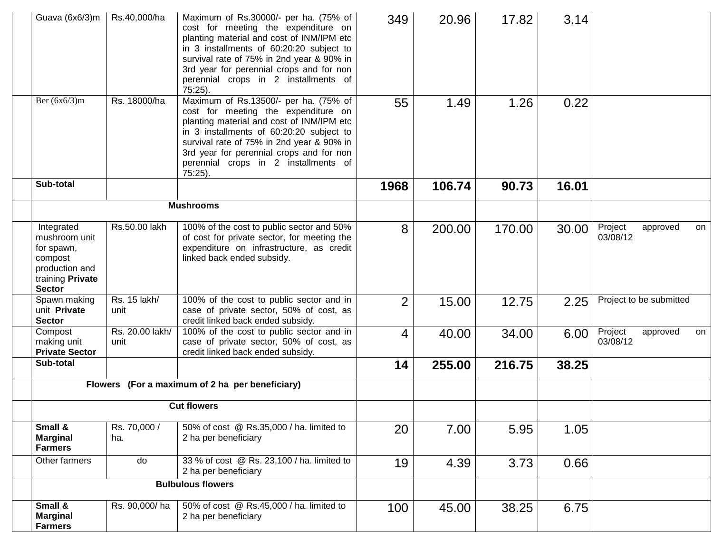| Guava (6x6/3)m                                                                                              | Rs.40,000/ha            | Maximum of Rs.30000/- per ha. (75% of<br>cost for meeting the expenditure on<br>planting material and cost of INM/IPM etc<br>in 3 installments of 60:20:20 subject to<br>survival rate of 75% in 2nd year & 90% in<br>3rd year for perennial crops and for non<br>perennial crops in 2 installments of<br>$75:25$ ). | 349            | 20.96  | 17.82  | 3.14  |                                 |    |
|-------------------------------------------------------------------------------------------------------------|-------------------------|----------------------------------------------------------------------------------------------------------------------------------------------------------------------------------------------------------------------------------------------------------------------------------------------------------------------|----------------|--------|--------|-------|---------------------------------|----|
| Ber $(6x6/3)m$                                                                                              | Rs. 18000/ha            | Maximum of Rs.13500/- per ha. (75% of<br>cost for meeting the expenditure on<br>planting material and cost of INM/IPM etc<br>in 3 installments of 60:20:20 subject to<br>survival rate of 75% in 2nd year & 90% in<br>3rd year for perennial crops and for non<br>perennial crops in 2 installments of<br>$75:25$ ). | 55             | 1.49   | 1.26   | 0.22  |                                 |    |
| Sub-total                                                                                                   |                         |                                                                                                                                                                                                                                                                                                                      | 1968           | 106.74 | 90.73  | 16.01 |                                 |    |
|                                                                                                             |                         | <b>Mushrooms</b>                                                                                                                                                                                                                                                                                                     |                |        |        |       |                                 |    |
| Integrated<br>mushroom unit<br>for spawn,<br>compost<br>production and<br>training Private<br><b>Sector</b> | Rs.50.00 lakh           | 100% of the cost to public sector and 50%<br>of cost for private sector, for meeting the<br>expenditure on infrastructure, as credit<br>linked back ended subsidy.                                                                                                                                                   | 8              | 200.00 | 170.00 | 30.00 | Project<br>approved<br>03/08/12 | on |
| Spawn making<br>unit Private<br><b>Sector</b>                                                               | Rs. 15 lakh/<br>unit    | 100% of the cost to public sector and in<br>case of private sector, 50% of cost, as<br>credit linked back ended subsidy.                                                                                                                                                                                             | $\overline{2}$ | 15.00  | 12.75  | 2.25  | Project to be submitted         |    |
| Compost<br>making unit<br><b>Private Sector</b>                                                             | Rs. 20.00 lakh/<br>unit | 100% of the cost to public sector and in<br>case of private sector, 50% of cost, as<br>credit linked back ended subsidy.                                                                                                                                                                                             | 4              | 40.00  | 34.00  | 6.00  | Project<br>approved<br>03/08/12 | on |
| Sub-total                                                                                                   |                         |                                                                                                                                                                                                                                                                                                                      | 14             | 255.00 | 216.75 | 38.25 |                                 |    |
|                                                                                                             |                         | Flowers (For a maximum of 2 ha per beneficiary)                                                                                                                                                                                                                                                                      |                |        |        |       |                                 |    |
|                                                                                                             |                         | <b>Cut flowers</b>                                                                                                                                                                                                                                                                                                   |                |        |        |       |                                 |    |
| Small &<br><b>Marginal</b><br><b>Farmers</b>                                                                | Rs. 70,000 /<br>ha.     | 50% of cost @ Rs.35,000 / ha. limited to<br>2 ha per beneficiary                                                                                                                                                                                                                                                     | 20             | 7.00   | 5.95   | 1.05  |                                 |    |
| Other farmers                                                                                               | do                      | 33 % of cost @ Rs. 23,100 / ha. limited to<br>2 ha per beneficiary                                                                                                                                                                                                                                                   | 19             | 4.39   | 3.73   | 0.66  |                                 |    |
|                                                                                                             |                         | <b>Bulbulous flowers</b>                                                                                                                                                                                                                                                                                             |                |        |        |       |                                 |    |
| Small &<br><b>Marginal</b><br><b>Farmers</b>                                                                | Rs. 90,000/ha           | 50% of cost @ Rs.45,000 / ha. limited to<br>2 ha per beneficiary                                                                                                                                                                                                                                                     | 100            | 45.00  | 38.25  | 6.75  |                                 |    |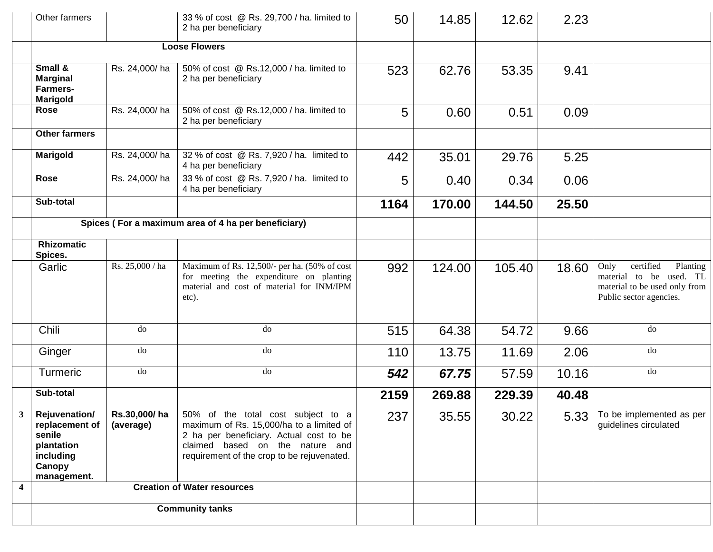| Other farmers                                                                                                          |                 | 33 % of cost @ Rs. 29,700 / ha. limited to<br>2 ha per beneficiary                                                                                                                                                      | 50   | 14.85  | 12.62  | 2.23  |                                                                                                                      |
|------------------------------------------------------------------------------------------------------------------------|-----------------|-------------------------------------------------------------------------------------------------------------------------------------------------------------------------------------------------------------------------|------|--------|--------|-------|----------------------------------------------------------------------------------------------------------------------|
|                                                                                                                        |                 | <b>Loose Flowers</b>                                                                                                                                                                                                    |      |        |        |       |                                                                                                                      |
| Small &<br><b>Marginal</b><br><b>Farmers-</b><br><b>Marigold</b>                                                       | Rs. 24,000/ha   | 50% of cost @ Rs.12,000 / ha. limited to<br>2 ha per beneficiary                                                                                                                                                        | 523  | 62.76  | 53.35  | 9.41  |                                                                                                                      |
| Rose                                                                                                                   | Rs. 24,000/ha   | 50% of cost @ Rs.12,000 / ha. limited to<br>2 ha per beneficiary                                                                                                                                                        | 5    | 0.60   | 0.51   | 0.09  |                                                                                                                      |
| <b>Other farmers</b>                                                                                                   |                 |                                                                                                                                                                                                                         |      |        |        |       |                                                                                                                      |
| <b>Marigold</b>                                                                                                        | Rs. 24,000/ha   | 32 % of cost @ Rs. 7,920 / ha. limited to<br>4 ha per beneficiary                                                                                                                                                       | 442  | 35.01  | 29.76  | 5.25  |                                                                                                                      |
| <b>Rose</b>                                                                                                            | Rs. 24,000/ha   | 33 % of cost @ Rs. 7,920 / ha. limited to<br>4 ha per beneficiary                                                                                                                                                       | 5    | 0.40   | 0.34   | 0.06  |                                                                                                                      |
| Sub-total                                                                                                              |                 |                                                                                                                                                                                                                         | 1164 | 170.00 | 144.50 | 25.50 |                                                                                                                      |
|                                                                                                                        |                 | Spices (For a maximum area of 4 ha per beneficiary)                                                                                                                                                                     |      |        |        |       |                                                                                                                      |
| <b>Rhizomatic</b><br>Spices.                                                                                           |                 |                                                                                                                                                                                                                         |      |        |        |       |                                                                                                                      |
| Garlic                                                                                                                 | Rs. 25,000 / ha | Maximum of Rs. 12,500/- per ha. (50% of cost<br>for meeting the expenditure on planting<br>material and cost of material for INM/IPM<br>etc).                                                                           | 992  | 124.00 | 105.40 | 18.60 | certified<br>Only<br>Planting<br>material to be used. TL<br>material to be used only from<br>Public sector agencies. |
| Chili                                                                                                                  | do              | do                                                                                                                                                                                                                      | 515  | 64.38  | 54.72  | 9.66  | do                                                                                                                   |
| Ginger                                                                                                                 | do              | do                                                                                                                                                                                                                      | 110  | 13.75  | 11.69  | 2.06  | do                                                                                                                   |
| Turmeric                                                                                                               | do              | do                                                                                                                                                                                                                      | 542  | 67.75  | 57.59  | 10.16 | do                                                                                                                   |
| Sub-total                                                                                                              |                 |                                                                                                                                                                                                                         | 2159 | 269.88 | 229.39 | 40.48 |                                                                                                                      |
| 3 <sup>7</sup><br><b>Rejuvenation/</b><br>replacement of<br>senile<br>plantation<br>including<br>Canopy<br>management. | (average)       | Rs.30,000/ha 50% of the total cost subject to a<br>maximum of Rs. 15,000/ha to a limited of<br>2 ha per beneficiary. Actual cost to be<br>claimed based on the nature and<br>requirement of the crop to be rejuvenated. | 237  | 35.55  | 30.22  |       | 5.33 To be implemented as per<br>guidelines circulated                                                               |
| 4                                                                                                                      |                 | <b>Creation of Water resources</b>                                                                                                                                                                                      |      |        |        |       |                                                                                                                      |
|                                                                                                                        |                 | <b>Community tanks</b>                                                                                                                                                                                                  |      |        |        |       |                                                                                                                      |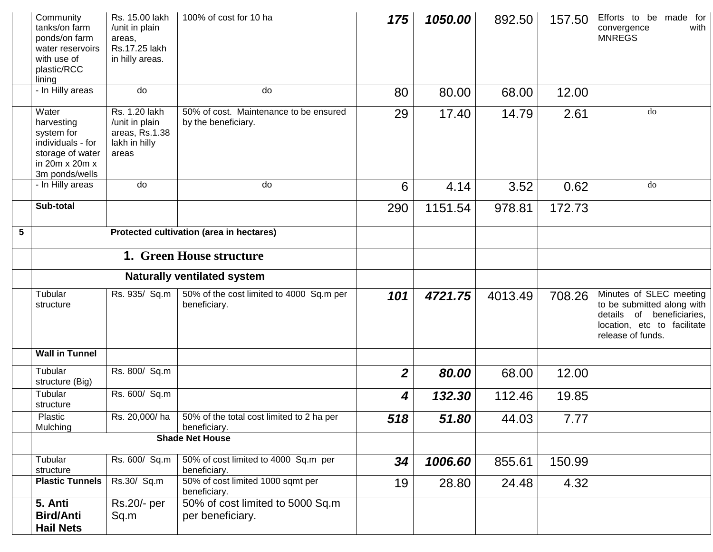|   | Community<br>tanks/on farm<br>ponds/on farm<br>water reservoirs<br>with use of<br>plastic/RCC<br>lining        | Rs. 15.00 lakh<br>/unit in plain<br>areas,<br>Rs.17.25 lakh<br>in hilly areas. | 100% of cost for 10 ha                                                    | 175            | 1050.00 | 892.50  | 157.50 | Efforts to be made for<br>with<br>convergence<br><b>MNREGS</b>                                                                         |
|---|----------------------------------------------------------------------------------------------------------------|--------------------------------------------------------------------------------|---------------------------------------------------------------------------|----------------|---------|---------|--------|----------------------------------------------------------------------------------------------------------------------------------------|
|   | - In Hilly areas                                                                                               | do                                                                             | do                                                                        | 80             | 80.00   | 68.00   | 12.00  |                                                                                                                                        |
|   | Water<br>harvesting<br>system for<br>individuals - for<br>storage of water<br>in 20m x 20m x<br>3m ponds/wells | Rs. 1.20 lakh<br>/unit in plain<br>areas, Rs.1.38<br>lakh in hilly<br>areas    | 50% of cost. Maintenance to be ensured<br>by the beneficiary.             | 29             | 17.40   | 14.79   | 2.61   | do                                                                                                                                     |
|   | - In Hilly areas                                                                                               | do                                                                             | do                                                                        | 6              | 4.14    | 3.52    | 0.62   | do                                                                                                                                     |
|   | Sub-total                                                                                                      |                                                                                |                                                                           | 290            | 1151.54 | 978.81  | 172.73 |                                                                                                                                        |
| 5 |                                                                                                                |                                                                                | Protected cultivation (area in hectares)                                  |                |         |         |        |                                                                                                                                        |
|   |                                                                                                                |                                                                                | <b>1. Green House structure</b>                                           |                |         |         |        |                                                                                                                                        |
|   |                                                                                                                |                                                                                | <b>Naturally ventilated system</b>                                        |                |         |         |        |                                                                                                                                        |
|   | Tubular<br>structure                                                                                           | Rs. 935/ Sq.m                                                                  | 50% of the cost limited to 4000 Sq.m per<br>beneficiary.                  | 101            | 4721.75 | 4013.49 | 708.26 | Minutes of SLEC meeting<br>to be submitted along with<br>details of beneficiaries,<br>location, etc to facilitate<br>release of funds. |
|   | <b>Wall in Tunnel</b>                                                                                          |                                                                                |                                                                           |                |         |         |        |                                                                                                                                        |
|   | Tubular<br>structure (Big)                                                                                     | Rs. 800/ Sq.m                                                                  |                                                                           | $\overline{2}$ | 80.00   | 68.00   | 12.00  |                                                                                                                                        |
|   | Tubular<br>structure                                                                                           | Rs. 600/ Sq.m                                                                  |                                                                           | 4              | 132.30  | 112.46  | 19.85  |                                                                                                                                        |
|   | Plastic<br>Mulching                                                                                            |                                                                                | Rs. 20,000/ha   50% of the total cost limited to 2 ha per<br>beneficiary. | 518            | 51.80   | 44.03   | 7.77   |                                                                                                                                        |
|   |                                                                                                                |                                                                                | <b>Shade Net House</b>                                                    |                |         |         |        |                                                                                                                                        |
|   | Tubular<br>structure                                                                                           | Rs. 600/ Sq.m                                                                  | 50% of cost limited to 4000 Sq.m per<br>beneficiary.                      | 34             | 1006.60 | 855.61  | 150.99 |                                                                                                                                        |
|   | <b>Plastic Tunnels</b>                                                                                         | Rs.30/ Sq.m                                                                    | 50% of cost limited 1000 sqmt per<br>beneficiary.                         | 19             | 28.80   | 24.48   | 4.32   |                                                                                                                                        |
|   | 5. Anti<br><b>Bird/Anti</b><br><b>Hail Nets</b>                                                                | Rs.20/- per<br>Sq.m                                                            | 50% of cost limited to 5000 Sq.m<br>per beneficiary.                      |                |         |         |        |                                                                                                                                        |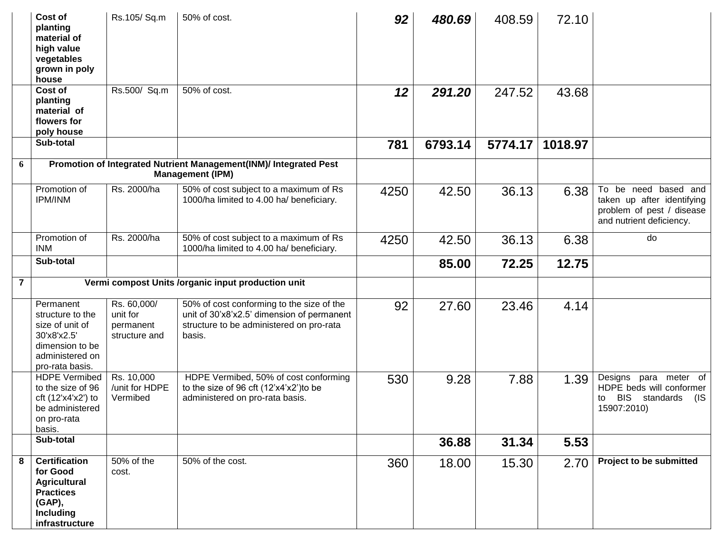|                | Cost of<br>planting<br>material of<br>high value<br>vegetables<br>grown in poly<br>house                                    | Rs.105/Sq.m                                           | 50% of cost.                                                                                                                                  | 92   | 480.69  | 408.59  | 72.10   |                                                                                                             |
|----------------|-----------------------------------------------------------------------------------------------------------------------------|-------------------------------------------------------|-----------------------------------------------------------------------------------------------------------------------------------------------|------|---------|---------|---------|-------------------------------------------------------------------------------------------------------------|
|                | Cost of<br>planting<br>material of<br>flowers for<br>poly house                                                             | Rs.500/ Sq.m                                          | 50% of cost.                                                                                                                                  | 12   | 291.20  | 247.52  | 43.68   |                                                                                                             |
|                | Sub-total                                                                                                                   |                                                       |                                                                                                                                               | 781  | 6793.14 | 5774.17 | 1018.97 |                                                                                                             |
| 6              |                                                                                                                             |                                                       | Promotion of Integrated Nutrient Management(INM)/ Integrated Pest<br><b>Management (IPM)</b>                                                  |      |         |         |         |                                                                                                             |
|                | Promotion of<br><b>IPM/INM</b>                                                                                              | Rs. 2000/ha                                           | 50% of cost subject to a maximum of Rs<br>1000/ha limited to 4.00 ha/ beneficiary.                                                            | 4250 | 42.50   | 36.13   | 6.38    | To be need based and<br>taken up after identifying<br>problem of pest / disease<br>and nutrient deficiency. |
|                | Promotion of<br><b>INM</b>                                                                                                  | Rs. 2000/ha                                           | 50% of cost subject to a maximum of Rs<br>1000/ha limited to 4.00 ha/ beneficiary.                                                            | 4250 | 42.50   | 36.13   | 6.38    | do                                                                                                          |
|                | Sub-total                                                                                                                   |                                                       |                                                                                                                                               |      | 85.00   | 72.25   | 12.75   |                                                                                                             |
| $\overline{7}$ |                                                                                                                             |                                                       | Vermi compost Units /organic input production unit                                                                                            |      |         |         |         |                                                                                                             |
|                | Permanent<br>structure to the<br>size of unit of<br>30'x8'x2.5'<br>dimension to be<br>administered on<br>pro-rata basis.    | Rs. 60,000/<br>unit for<br>permanent<br>structure and | 50% of cost conforming to the size of the<br>unit of 30'x8'x2.5' dimension of permanent<br>structure to be administered on pro-rata<br>basis. | 92   | 27.60   | 23.46   | 4.14    |                                                                                                             |
|                | <b>HDPE Vermibed</b><br>to the size of 96<br>cft (12'x4'x2') to<br>be administered<br>on pro-rata<br>basis.                 | Rs. 10,000<br>/unit for HDPE<br>Vermibed              | HDPE Vermibed, 50% of cost conforming<br>to the size of 96 cft (12'x4'x2') to be<br>administered on pro-rata basis.                           | 530  | 9.28    | 7.88    | 1.39    | Designs para meter of<br>HDPE beds will conformer<br>BIS standards<br>(IS<br>to<br>15907:2010)              |
|                | Sub-total                                                                                                                   |                                                       |                                                                                                                                               |      | 36.88   | 31.34   | 5.53    |                                                                                                             |
| 8              | <b>Certification</b><br>for Good<br><b>Agricultural</b><br><b>Practices</b><br>(GAP),<br><b>Including</b><br>infrastructure | 50% of the<br>cost.                                   | 50% of the cost.                                                                                                                              | 360  | 18.00   | 15.30   | 2.70    | <b>Project to be submitted</b>                                                                              |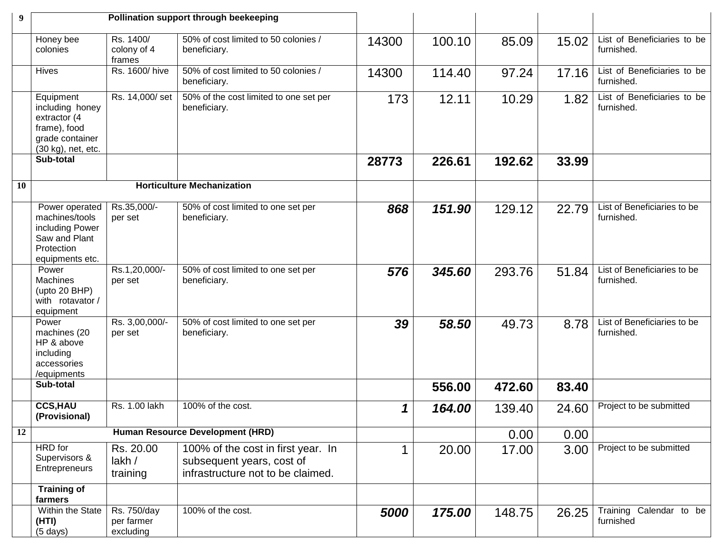| 9  |                                                                                                       |                                        | Pollination support through beekeeping                                                               |             |        |        |       |                                           |
|----|-------------------------------------------------------------------------------------------------------|----------------------------------------|------------------------------------------------------------------------------------------------------|-------------|--------|--------|-------|-------------------------------------------|
|    | Honey bee<br>colonies                                                                                 | Rs. 1400/<br>colony of 4<br>frames     | 50% of cost limited to 50 colonies /<br>beneficiary.                                                 | 14300       | 100.10 | 85.09  | 15.02 | List of Beneficiaries to be<br>furnished. |
|    | <b>Hives</b>                                                                                          | Rs. 1600/hive                          | 50% of cost limited to 50 colonies /<br>beneficiary.                                                 | 14300       | 114.40 | 97.24  | 17.16 | List of Beneficiaries to be<br>furnished. |
|    | Equipment<br>including honey<br>extractor (4<br>frame), food<br>grade container<br>(30 kg), net, etc. | Rs. 14,000/set                         | 50% of the cost limited to one set per<br>beneficiary.                                               | 173         | 12.11  | 10.29  | 1.82  | List of Beneficiaries to be<br>furnished. |
|    | Sub-total                                                                                             |                                        |                                                                                                      | 28773       | 226.61 | 192.62 | 33.99 |                                           |
| 10 |                                                                                                       |                                        | <b>Horticulture Mechanization</b>                                                                    |             |        |        |       |                                           |
|    | Power operated<br>machines/tools<br>including Power<br>Saw and Plant<br>Protection<br>equipments etc. | Rs.35,000/-<br>per set                 | 50% of cost limited to one set per<br>beneficiary.                                                   | 868         | 151.90 | 129.12 | 22.79 | List of Beneficiaries to be<br>furnished. |
|    | Power<br><b>Machines</b><br>(upto 20 BHP)<br>with rotavator /<br>equipment                            | Rs.1,20,000/-<br>per set               | 50% of cost limited to one set per<br>beneficiary.                                                   | 576         | 345.60 | 293.76 | 51.84 | List of Beneficiaries to be<br>furnished. |
|    | Power<br>machines (20<br>HP & above<br>including<br>accessories<br>/equipments                        | Rs. 3,00,000/-<br>per set              | 50% of cost limited to one set per<br>beneficiary.                                                   | 39          | 58.50  | 49.73  | 8.78  | List of Beneficiaries to be<br>furnished. |
|    | Sub-total                                                                                             |                                        |                                                                                                      |             | 556.00 | 472.60 | 83.40 |                                           |
|    | <b>CCS,HAU</b><br>(Provisional)                                                                       | Rs. 1.00 lakh                          | 100% of the cost.                                                                                    | 1           | 164.00 | 139.40 | 24.60 | Project to be submitted                   |
| 12 |                                                                                                       |                                        | <b>Human Resource Development (HRD)</b>                                                              |             |        | 0.00   | 0.00  |                                           |
|    | HRD for<br>Supervisors &<br>Entrepreneurs                                                             | Rs. 20.00<br>lakh /<br>training        | 100% of the cost in first year. In<br>subsequent years, cost of<br>infrastructure not to be claimed. | $\mathbf 1$ | 20.00  | 17.00  | 3.00  | Project to be submitted                   |
|    | <b>Training of</b><br>farmers                                                                         |                                        |                                                                                                      |             |        |        |       |                                           |
|    | Within the State<br>(HTI)<br>$(5 \text{ days})$                                                       | Rs. 750/day<br>per farmer<br>excluding | 100% of the cost.                                                                                    | 5000        | 175.00 | 148.75 | 26.25 | Training Calendar to be<br>furnished      |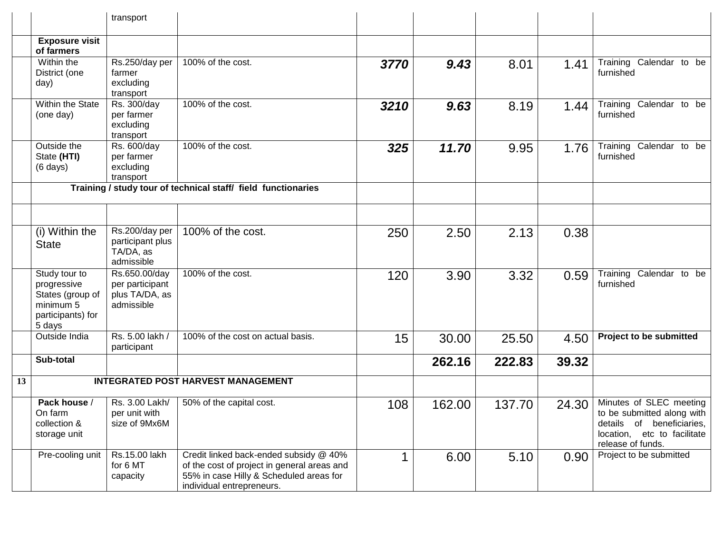|    |                                                                                              | transport                                                        |                                                                                                                                                               |      |        |        |       |                                                                                                                                        |
|----|----------------------------------------------------------------------------------------------|------------------------------------------------------------------|---------------------------------------------------------------------------------------------------------------------------------------------------------------|------|--------|--------|-------|----------------------------------------------------------------------------------------------------------------------------------------|
|    | <b>Exposure visit</b><br>of farmers                                                          |                                                                  |                                                                                                                                                               |      |        |        |       |                                                                                                                                        |
|    | Within the<br>District (one<br>day)                                                          | Rs.250/day per<br>farmer<br>excluding<br>transport               | 100% of the cost.                                                                                                                                             | 3770 | 9.43   | 8.01   | 1.41  | Training Calendar to be<br>furnished                                                                                                   |
|    | Within the State<br>(one day)                                                                | Rs. 300/day<br>per farmer<br>excluding<br>transport              | 100% of the cost.                                                                                                                                             | 3210 | 9.63   | 8.19   | 1.44  | Training Calendar to be<br>furnished                                                                                                   |
|    | Outside the<br>State (HTI)<br>$(6 \text{ days})$                                             | Rs. 600/day<br>per farmer<br>excluding<br>transport              | 100% of the cost.                                                                                                                                             | 325  | 11.70  | 9.95   | 1.76  | Training Calendar to be<br>furnished                                                                                                   |
|    |                                                                                              |                                                                  | Training / study tour of technical staff/ field functionaries                                                                                                 |      |        |        |       |                                                                                                                                        |
|    |                                                                                              |                                                                  |                                                                                                                                                               |      |        |        |       |                                                                                                                                        |
|    | (i) Within the<br><b>State</b>                                                               | Rs.200/day per<br>participant plus<br>TA/DA, as<br>admissible    | 100% of the cost.                                                                                                                                             | 250  | 2.50   | 2.13   | 0.38  |                                                                                                                                        |
|    | Study tour to<br>progressive<br>States (group of<br>minimum 5<br>participants) for<br>5 days | Rs.650.00/day<br>per participant<br>plus TA/DA, as<br>admissible | 100% of the cost.                                                                                                                                             | 120  | 3.90   | 3.32   | 0.59  | Training Calendar to be<br>furnished                                                                                                   |
|    | Outside India                                                                                | Rs. 5.00 lakh /<br>participant                                   | 100% of the cost on actual basis.                                                                                                                             | 15   | 30.00  | 25.50  | 4.50  | Project to be submitted                                                                                                                |
|    | Sub-total                                                                                    |                                                                  |                                                                                                                                                               |      | 262.16 | 222.83 | 39.32 |                                                                                                                                        |
| 13 |                                                                                              |                                                                  | <b>INTEGRATED POST HARVEST MANAGEMENT</b>                                                                                                                     |      |        |        |       |                                                                                                                                        |
|    | Pack house /<br>On farm<br>collection &<br>storage unit                                      | Rs. 3.00 Lakh/<br>per unit with<br>size of 9Mx6M                 | 50% of the capital cost.                                                                                                                                      | 108  | 162.00 | 137.70 | 24.30 | Minutes of SLEC meeting<br>to be submitted along with<br>details of beneficiaries,<br>location, etc to facilitate<br>release of funds. |
|    | Pre-cooling unit                                                                             | Rs.15.00 lakh<br>for 6 MT<br>capacity                            | Credit linked back-ended subsidy @ 40%<br>of the cost of project in general areas and<br>55% in case Hilly & Scheduled areas for<br>individual entrepreneurs. | 1    | 6.00   | 5.10   | 0.90  | Project to be submitted                                                                                                                |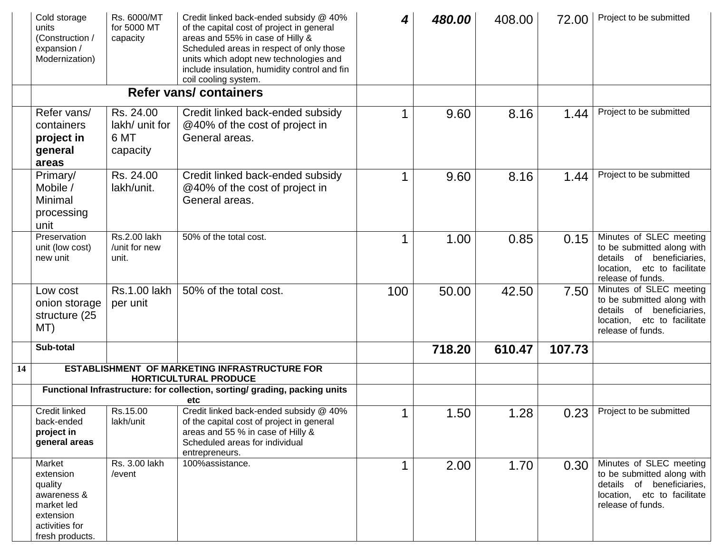|    | Cold storage<br>units<br>(Construction /<br>expansion /<br>Modernization)                                     | Rs. 6000/MT<br>for 5000 MT<br>capacity          | Credit linked back-ended subsidy @ 40%<br>of the capital cost of project in general<br>areas and 55% in case of Hilly &<br>Scheduled areas in respect of only those<br>units which adopt new technologies and<br>include insulation, humidity control and fin<br>coil cooling system. | 4   | 480.00 | 408.00 | 72.00  | Project to be submitted                                                                                                                |
|----|---------------------------------------------------------------------------------------------------------------|-------------------------------------------------|---------------------------------------------------------------------------------------------------------------------------------------------------------------------------------------------------------------------------------------------------------------------------------------|-----|--------|--------|--------|----------------------------------------------------------------------------------------------------------------------------------------|
|    |                                                                                                               |                                                 | <b>Refer vans/containers</b>                                                                                                                                                                                                                                                          |     |        |        |        |                                                                                                                                        |
|    | Refer vans/<br>containers<br>project in<br>general<br>areas                                                   | Rs. 24.00<br>lakh/ unit for<br>6 MT<br>capacity | Credit linked back-ended subsidy<br>@40% of the cost of project in<br>General areas.                                                                                                                                                                                                  |     | 9.60   | 8.16   | 1.44   | Project to be submitted                                                                                                                |
|    | Primary/<br>Mobile /<br>Minimal<br>processing<br>unit                                                         | Rs. 24.00<br>lakh/unit.                         | Credit linked back-ended subsidy<br>@40% of the cost of project in<br>General areas.                                                                                                                                                                                                  |     | 9.60   | 8.16   | 1.44   | Project to be submitted                                                                                                                |
|    | Preservation<br>unit (low cost)<br>new unit                                                                   | Rs.2.00 lakh<br>/unit for new<br>unit.          | 50% of the total cost.                                                                                                                                                                                                                                                                |     | 1.00   | 0.85   | 0.15   | Minutes of SLEC meeting<br>to be submitted along with<br>details of beneficiaries,<br>location, etc to facilitate<br>release of funds. |
|    | Low cost<br>onion storage<br>structure (25<br>MT)                                                             | <b>Rs.1.00 lakh</b><br>per unit                 | 50% of the total cost.                                                                                                                                                                                                                                                                | 100 | 50.00  | 42.50  | 7.50   | Minutes of SLEC meeting<br>to be submitted along with<br>details of beneficiaries,<br>location, etc to facilitate<br>release of funds. |
|    | Sub-total                                                                                                     |                                                 |                                                                                                                                                                                                                                                                                       |     | 718.20 | 610.47 | 107.73 |                                                                                                                                        |
| 14 |                                                                                                               |                                                 | <b>ESTABLISHMENT OF MARKETING INFRASTRUCTURE FOR</b><br><b>HORTICULTURAL PRODUCE</b>                                                                                                                                                                                                  |     |        |        |        |                                                                                                                                        |
|    |                                                                                                               |                                                 | Functional Infrastructure: for collection, sorting/ grading, packing units<br>etc                                                                                                                                                                                                     |     |        |        |        |                                                                                                                                        |
|    | Credit linked<br>back-ended<br>project in<br>general areas                                                    | Rs.15.00<br>lakh/unit                           | Credit linked back-ended subsidy @ 40%<br>of the capital cost of project in general<br>areas and 55 % in case of Hilly &<br>Scheduled areas for individual<br>entrepreneurs.                                                                                                          |     | 1.50   | 1.28   | 0.23   | Project to be submitted                                                                                                                |
|    | Market<br>extension<br>quality<br>awareness &<br>market led<br>extension<br>activities for<br>fresh products. | Rs. 3.00 lakh<br>/event                         | 100%assistance.                                                                                                                                                                                                                                                                       |     | 2.00   | 1.70   | 0.30   | Minutes of SLEC meeting<br>to be submitted along with<br>details of beneficiaries,<br>location, etc to facilitate<br>release of funds. |